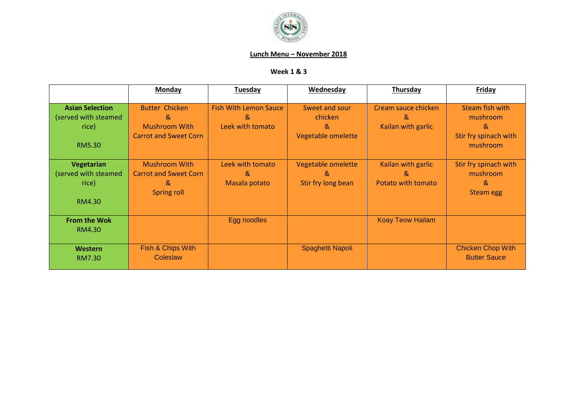

## **Lunch Menu – November 2018**

## **Week 1 & 3**

|                                                                          | Monday                                                                             | <b>Tuesday</b>                                        | Wednesday                                            | Thursday                                        | Friday                                                                |
|--------------------------------------------------------------------------|------------------------------------------------------------------------------------|-------------------------------------------------------|------------------------------------------------------|-------------------------------------------------|-----------------------------------------------------------------------|
| <b>Asian Selection</b><br>(served with steamed<br>rice)<br><b>RM5.30</b> | <b>Butter Chicken</b><br>&<br><b>Mushroom With</b><br><b>Carrot and Sweet Corn</b> | <b>Fish With Lemon Sauce</b><br>&<br>Leek with tomato | Sweet and sour<br>chicken<br>&<br>Vegetable omelette | Cream sauce chicken<br>x,<br>Kailan with garlic | Steam fish with<br>mushroom<br>&<br>Stir fry spinach with<br>mushroom |
| Vegetarian<br>(served with steamed<br>rice)<br>RM4.30                    | <b>Mushroom With</b><br><b>Carrot and Sweet Corn</b><br>&<br>Spring roll           | Leek with tomato<br>&<br>Masala potato                | Vegetable omelette<br>&<br>Stir fry long bean        | Kailan with garlic<br>&<br>Potato with tomato   | Stir fry spinach with<br>mushroom<br>&<br><b>Steam egg</b>            |
| <b>From the Wok</b><br>RM4.30                                            |                                                                                    | Egg noodles                                           |                                                      | <b>Koay Teow Hailam</b>                         |                                                                       |
| Western<br><b>RM7.30</b>                                                 | Fish & Chips With<br>Coleslaw                                                      |                                                       | Spaghetti Napoli                                     |                                                 | <b>Chicken Chop With</b><br><b>Butter Sauce</b>                       |